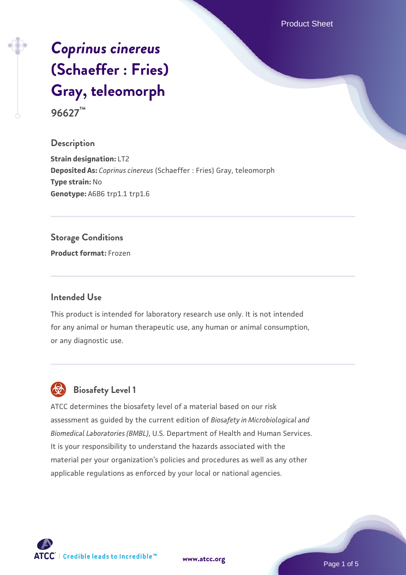Product Sheet

# *[Coprinus cinereus](https://www.atcc.org/products/96627)* **[\(Schaeffer : Fries\)](https://www.atcc.org/products/96627) [Gray, teleomorph](https://www.atcc.org/products/96627)**

**96627™**

#### **Description**

**Strain designation:** LT2 **Deposited As:** *Coprinus cinereus* (Schaeffer : Fries) Gray, teleomorph **Type strain:** No **Genotype:** A6B6 trp1.1 trp1.6

#### **Storage Conditions**

**Product format:** Frozen

#### **Intended Use**

This product is intended for laboratory research use only. It is not intended for any animal or human therapeutic use, any human or animal consumption, or any diagnostic use.



### **Biosafety Level 1**

ATCC determines the biosafety level of a material based on our risk assessment as guided by the current edition of *Biosafety in Microbiological and Biomedical Laboratories (BMBL)*, U.S. Department of Health and Human Services. It is your responsibility to understand the hazards associated with the material per your organization's policies and procedures as well as any other applicable regulations as enforced by your local or national agencies.

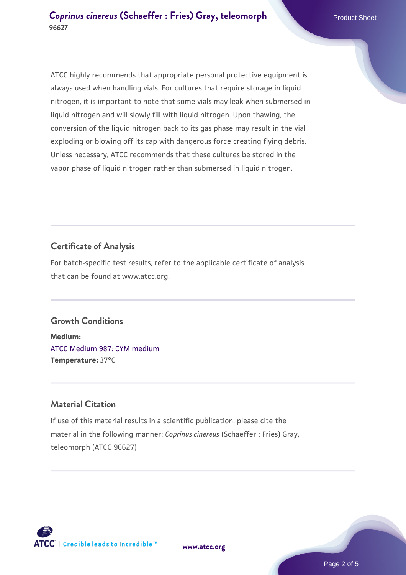ATCC highly recommends that appropriate personal protective equipment is always used when handling vials. For cultures that require storage in liquid nitrogen, it is important to note that some vials may leak when submersed in liquid nitrogen and will slowly fill with liquid nitrogen. Upon thawing, the conversion of the liquid nitrogen back to its gas phase may result in the vial exploding or blowing off its cap with dangerous force creating flying debris. Unless necessary, ATCC recommends that these cultures be stored in the vapor phase of liquid nitrogen rather than submersed in liquid nitrogen.

#### **Certificate of Analysis**

For batch-specific test results, refer to the applicable certificate of analysis that can be found at www.atcc.org.

#### **Growth Conditions**

**Medium:**  [ATCC Medium 987: CYM medium](https://www.atcc.org/-/media/product-assets/documents/microbial-media-formulations/9/8/7/atcc-medium-987.pdf?rev=80a7aaba0d6d4927a359e9ccdb642bf4) **Temperature:** 37°C

#### **Material Citation**

If use of this material results in a scientific publication, please cite the material in the following manner: *Coprinus cinereus* (Schaeffer : Fries) Gray, teleomorph (ATCC 96627)



**[www.atcc.org](http://www.atcc.org)**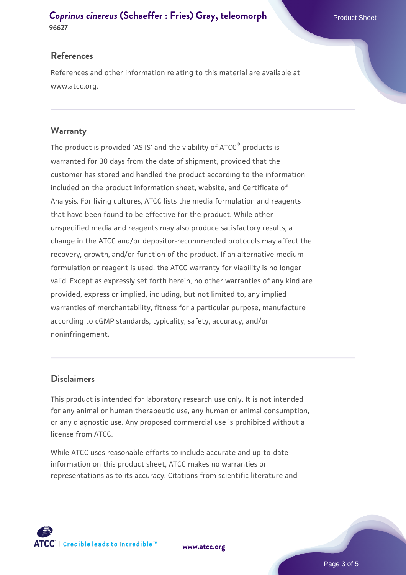#### **[Coprinus cinereus](https://www.atcc.org/products/96627) [\(Schaeffer : Fries\) Gray, teleomorph](https://www.atcc.org/products/96627)** Product Sheet **96627**

#### **References**

References and other information relating to this material are available at www.atcc.org.

#### **Warranty**

The product is provided 'AS IS' and the viability of ATCC® products is warranted for 30 days from the date of shipment, provided that the customer has stored and handled the product according to the information included on the product information sheet, website, and Certificate of Analysis. For living cultures, ATCC lists the media formulation and reagents that have been found to be effective for the product. While other unspecified media and reagents may also produce satisfactory results, a change in the ATCC and/or depositor-recommended protocols may affect the recovery, growth, and/or function of the product. If an alternative medium formulation or reagent is used, the ATCC warranty for viability is no longer valid. Except as expressly set forth herein, no other warranties of any kind are provided, express or implied, including, but not limited to, any implied warranties of merchantability, fitness for a particular purpose, manufacture according to cGMP standards, typicality, safety, accuracy, and/or noninfringement.

#### **Disclaimers**

This product is intended for laboratory research use only. It is not intended for any animal or human therapeutic use, any human or animal consumption, or any diagnostic use. Any proposed commercial use is prohibited without a license from ATCC.

While ATCC uses reasonable efforts to include accurate and up-to-date information on this product sheet, ATCC makes no warranties or representations as to its accuracy. Citations from scientific literature and



**[www.atcc.org](http://www.atcc.org)**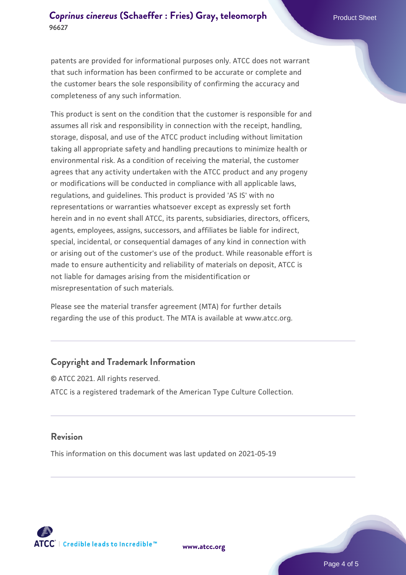patents are provided for informational purposes only. ATCC does not warrant that such information has been confirmed to be accurate or complete and the customer bears the sole responsibility of confirming the accuracy and completeness of any such information.

This product is sent on the condition that the customer is responsible for and assumes all risk and responsibility in connection with the receipt, handling, storage, disposal, and use of the ATCC product including without limitation taking all appropriate safety and handling precautions to minimize health or environmental risk. As a condition of receiving the material, the customer agrees that any activity undertaken with the ATCC product and any progeny or modifications will be conducted in compliance with all applicable laws, regulations, and guidelines. This product is provided 'AS IS' with no representations or warranties whatsoever except as expressly set forth herein and in no event shall ATCC, its parents, subsidiaries, directors, officers, agents, employees, assigns, successors, and affiliates be liable for indirect, special, incidental, or consequential damages of any kind in connection with or arising out of the customer's use of the product. While reasonable effort is made to ensure authenticity and reliability of materials on deposit, ATCC is not liable for damages arising from the misidentification or misrepresentation of such materials.

Please see the material transfer agreement (MTA) for further details regarding the use of this product. The MTA is available at www.atcc.org.

#### **Copyright and Trademark Information**

© ATCC 2021. All rights reserved. ATCC is a registered trademark of the American Type Culture Collection.

#### **Revision**

This information on this document was last updated on 2021-05-19

**[www.atcc.org](http://www.atcc.org)**